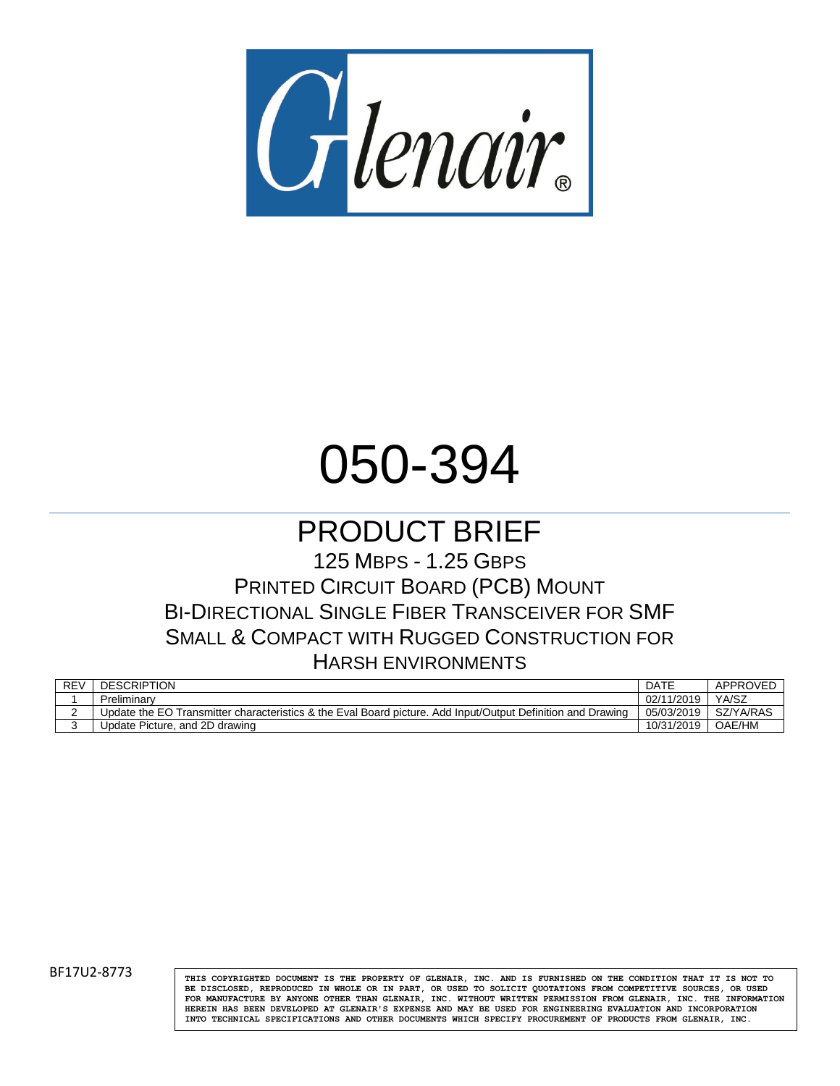

# 050-394

## PRODUCT BRIEF

125 MBPS - 1.25 GBPS PRINTED CIRCUIT BOARD (PCB) MOUNT BI-DIRECTIONAL SINGLE FIBER TRANSCEIVER FOR SMF SMALL & COMPACT WITH RUGGED CONSTRUCTION FOR HARSH ENVIRONMENTS

| <b>REV</b> | <b>DESCRIPTION</b>                                                                                          | DATE       | APPROVED  |
|------------|-------------------------------------------------------------------------------------------------------------|------------|-----------|
|            | Preliminary                                                                                                 | 02/11/2019 | YA/SZ     |
|            | Update the EO Transmitter characteristics & the Eval Board picture. Add Input/Output Definition and Drawing | 05/03/2019 | SZ/YA/RAS |
|            | Update Picture, and 2D drawing                                                                              | 10/31/2019 | OAE/HM    |

BF17U2-8773 **THIS COPYRIGHTED DOCUMENT IS THE PROPERTY OF GLENAIR**, INC. AND IS FURNISHED ON THE CONDITION THAT IT IS NOT TO **BE DISCLOSED, REPRODUCED IN WHOLE OR IN PART, OR USED TO SOLICIT QUOTATIONS FROM COMPETITIVE SOURCES, OR USED FOR MANUFACTURE BY ANYONE OTHER THAN GLENAIR, INC. WITHOUT WRITTEN PERMISSION FROM GLENAIR, INC. THE INFORMATION HEREIN HAS BEEN DEVELOPED AT GLENAIR'S EXPENSE AND MAY BE USED FOR ENGINEERING EVALUATION AND INCORPORATION INTO TECHNICAL SPECIFICATIONS AND OTHER DOCUMENTS WHICH SPECIFY PROCUREMENT OF PRODUCTS FROM GLENAIR, INC.**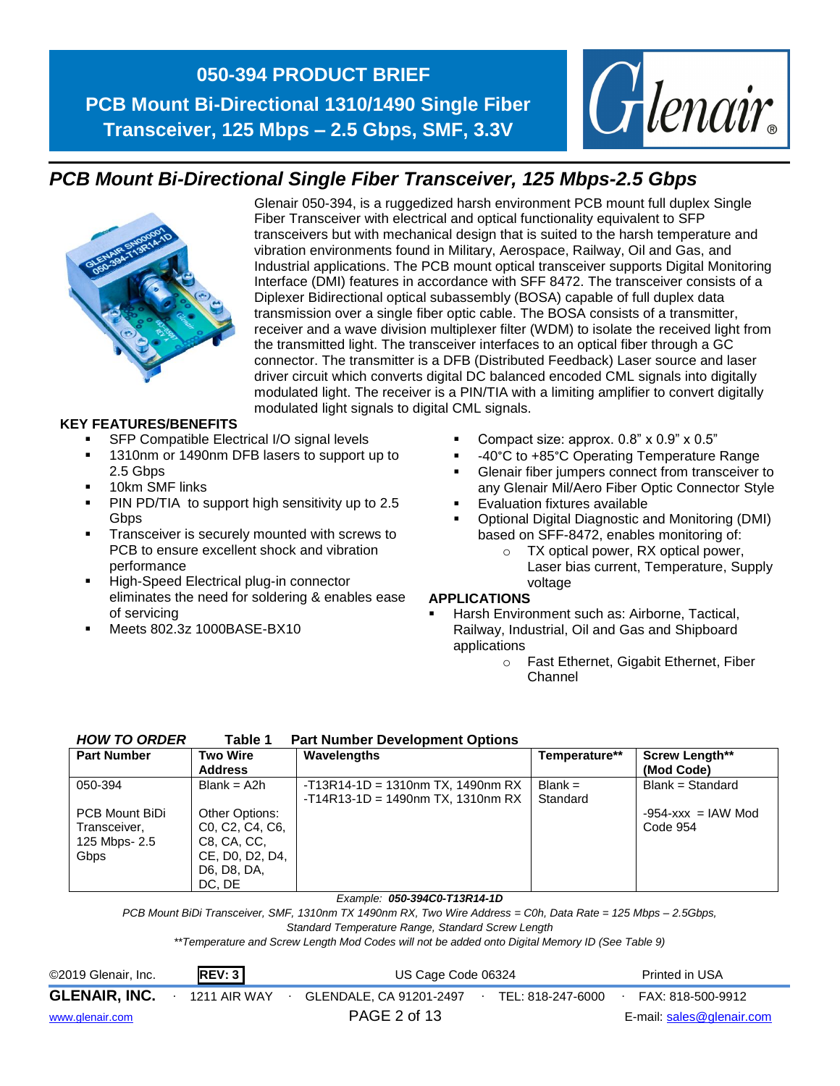

## *PCB Mount Bi-Directional Single Fiber Transceiver, 125 Mbps-2.5 Gbps*



Glenair 050-394, is a ruggedized harsh environment PCB mount full duplex Single Fiber Transceiver with electrical and optical functionality equivalent to SFP transceivers but with mechanical design that is suited to the harsh temperature and vibration environments found in Military, Aerospace, Railway, Oil and Gas, and Industrial applications. The PCB mount optical transceiver supports Digital Monitoring Interface (DMI) features in accordance with SFF 8472. The transceiver consists of a Diplexer Bidirectional optical subassembly (BOSA) capable of full duplex data transmission over a single fiber optic cable. The BOSA consists of a transmitter, receiver and a wave division multiplexer filter (WDM) to isolate the received light from the transmitted light. The transceiver interfaces to an optical fiber through a GC connector. The transmitter is a DFB (Distributed Feedback) Laser source and laser driver circuit which converts digital DC balanced encoded CML signals into digitally modulated light. The receiver is a PIN/TIA with a limiting amplifier to convert digitally modulated light signals to digital CML signals.

#### **KEY FEATURES/BENEFITS**

- SFP Compatible Electrical I/O signal levels
- 1310nm or 1490nm DFB lasers to support up to 2.5 Gbps
- 10km SMF links
- PIN PD/TIA to support high sensitivity up to 2.5 **Gbps**
- Transceiver is securely mounted with screws to PCB to ensure excellent shock and vibration performance
- High-Speed Electrical plug-in connector eliminates the need for soldering & enables ease of servicing
- Meets 802.3z 1000BASE-BX10
- **•** Compact size: approx.  $0.8$ " x  $0.9$ " x  $0.5$ "
- -40°C to +85°C Operating Temperature Range
- **EXECUTE:** Glenair fiber jumpers connect from transceiver to any Glenair Mil/Aero Fiber Optic Connector Style
- **Evaluation fixtures available**
- Optional Digital Diagnostic and Monitoring (DMI) based on SFF-8472, enables monitoring of:
	- o TX optical power, RX optical power, Laser bias current, Temperature, Supply voltage

#### **APPLICATIONS**

- Harsh Environment such as: Airborne, Tactical, Railway, Industrial, Oil and Gas and Shipboard applications
	- o Fast Ethernet, Gigabit Ethernet, Fiber Channel

| <b>HOW TO ORDER</b> | Table 1 | <b>Part Number Development Options</b> |  |
|---------------------|---------|----------------------------------------|--|
|---------------------|---------|----------------------------------------|--|

| <b>Part Number</b> | <b>Two Wire</b>                                        | Wavelengths                          | Temperature** | <b>Screw Length**</b>  |
|--------------------|--------------------------------------------------------|--------------------------------------|---------------|------------------------|
|                    | <b>Address</b>                                         |                                      |               | (Mod Code)             |
| 050-394            | $Blank = A2h$                                          | $-T13R14-1D = 1310nm TX$ , 1490nm RX | $Blank =$     | $Blank = Standard$     |
|                    |                                                        | $-T14R13-1D = 1490nm TX. 1310nm RX$  | Standard      |                        |
| PCB Mount BiDi     | Other Options:                                         |                                      |               | $-954 - xxx = IAW Mod$ |
| Transceiver,       | CO, C <sub>2</sub> , C <sub>4</sub> , C <sub>6</sub> , |                                      |               | Code 954               |
| 125 Mbps- 2.5      | C8, CA, CC,                                            |                                      |               |                        |
| Gbps               | CE, DO, D2, D4,                                        |                                      |               |                        |
|                    | D6, D8, DA,                                            |                                      |               |                        |
|                    | DC. DE                                                 |                                      |               |                        |

#### *Example: 050-394C0-T13R14-1D*

*PCB Mount BiDi Transceiver, SMF, 1310nm TX 1490nm RX, Two Wire Address = C0h, Data Rate = 125 Mbps – 2.5Gbps,* 

*Standard Temperature Range, Standard Screw Length*

*\*\*Temperature and Screw Length Mod Codes will not be added onto Digital Memory ID (See Table 9)*

| ©2019 Glenair, Inc.  | REV: 3       | US Cage Code 06324      |  |                   |  | Printed in USA            |
|----------------------|--------------|-------------------------|--|-------------------|--|---------------------------|
| <b>GLENAIR, INC.</b> | 1211 AIR WAY | GLENDALE, CA 91201-2497 |  | TEL: 818-247-6000 |  | FAX: 818-500-9912         |
| www.glenair.com      |              | PAGE 2 of 13            |  |                   |  | E-mail: sales@glenair.com |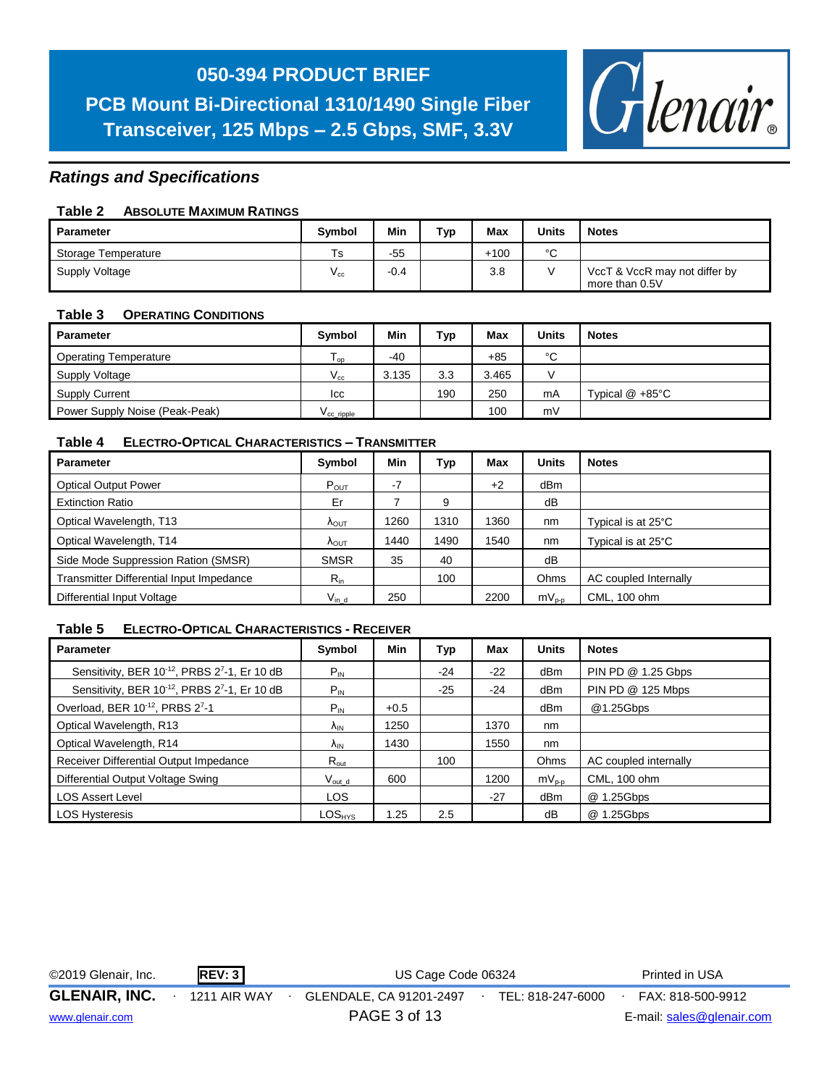**PCB Mount Bi-Directional 1310/1490 Single Fiber Transceiver, 125 Mbps – 2.5 Gbps, SMF, 3.3V**



#### *Ratings and Specifications*

#### **Table 2 ABSOLUTE MAXIMUM RATINGS**

| Parameter           | <b>Symbol</b> | Min    | тур | Max    | <b>Units</b> | <b>Notes</b>                                    |
|---------------------|---------------|--------|-----|--------|--------------|-------------------------------------------------|
| Storage Temperature | Ts            | $-55$  |     | $+100$ | $\sim$       |                                                 |
| Supply Voltage      | $V_{\rm cc}$  | $-0.4$ |     | 3.8    |              | VccT & VccR may not differ by<br>more than 0.5V |

#### **Table 3 OPERATING CONDITIONS**

| Parameter                      | <b>Symbol</b>         | Min   | Тур | Max   | <b>Units</b>  | <b>Notes</b>       |
|--------------------------------|-----------------------|-------|-----|-------|---------------|--------------------|
| <b>Operating Temperature</b>   | l op                  | $-40$ |     | $+85$ | °C            |                    |
| Supply Voltage                 | $V_{cc}$              | 3.135 | 3.3 | 3.465 | $\mathcal{U}$ |                    |
| <b>Supply Current</b>          | lcc                   |       | 190 | 250   | mA            | Typical $@ + 85°C$ |
| Power Supply Noise (Peak-Peak) | V <sub>ccripple</sub> |       |     | 100   | mV            |                    |

#### **Table 4 ELECTRO-OPTICAL CHARACTERISTICS – TRANSMITTER**

| <b>Parameter</b>                         | Symbol                 | Min  | Тур  | Max  | <b>Units</b> | <b>Notes</b>          |
|------------------------------------------|------------------------|------|------|------|--------------|-----------------------|
| <b>Optical Output Power</b>              | $P_{\text{OUT}}$       | $-7$ |      | $+2$ | dBm          |                       |
| <b>Extinction Ratio</b>                  | Er                     |      | 9    |      | dB           |                       |
| Optical Wavelength, T13                  | <b>A</b> OUT           | 1260 | 1310 | 1360 | nm           | Typical is at 25°C    |
| Optical Wavelength, T14                  | $\Lambda_{\text{OUT}}$ | 1440 | 1490 | 1540 | nm           | Typical is at 25°C    |
| Side Mode Suppression Ration (SMSR)      | <b>SMSR</b>            | 35   | 40   |      | dB           |                       |
| Transmitter Differential Input Impedance | $R_{in}$               |      | 100  |      | Ohms         | AC coupled Internally |
| Differential Input Voltage               | $V_{in\_d}$            | 250  |      | 2200 | $mV_{p-p}$   | CML, 100 ohm          |

#### **Table 5 ELECTRO-OPTICAL CHARACTERISTICS - RECEIVER**

| <b>Parameter</b>                                                      | Symbol                 | Min    | Typ   | Max   | <b>Units</b>    | <b>Notes</b>          |
|-----------------------------------------------------------------------|------------------------|--------|-------|-------|-----------------|-----------------------|
| Sensitivity, BER 10-12, PRBS 27-1, Er 10 dB                           | $P_{IN}$               |        | $-24$ | $-22$ | dB <sub>m</sub> | PIN PD @ 1.25 Gbps    |
| Sensitivity, BER 10 <sup>-12</sup> , PRBS 2 <sup>7</sup> -1, Er 10 dB | $P_{IN}$               |        | $-25$ | $-24$ | dB <sub>m</sub> | PIN PD @ 125 Mbps     |
| Overload, BER 10-12, PRBS 27-1                                        | $P_{IN}$               | $+0.5$ |       |       | dBm             | @1.25Gbps             |
| Optical Wavelength, R13                                               | $\Lambda_{IN}$         | 1250   |       | 1370  | nm              |                       |
| Optical Wavelength, R14                                               | <b>A</b> <sub>IN</sub> | 1430   |       | 1550  | nm              |                       |
| Receiver Differential Output Impedance                                | $R_{\text{out}}$       |        | 100   |       | Ohms            | AC coupled internally |
| Differential Output Voltage Swing                                     | $V_{\text{out d}}$     | 600    |       | 1200  | $mV_{p-p}$      | CML, 100 ohm          |
| <b>LOS Assert Level</b>                                               | <b>LOS</b>             |        |       | $-27$ | dB <sub>m</sub> | @ 1.25Gbps            |
| <b>LOS Hysteresis</b>                                                 | $LOS_{HYS}$            | 1.25   | 2.5   |       | dB              | @ 1.25Gbps            |

| ©2019 Glenair, Inc.  | REV: 3       | US Cage Code 06324      |  |                   |  | Printed in USA            |
|----------------------|--------------|-------------------------|--|-------------------|--|---------------------------|
| <b>GLENAIR, INC.</b> | 1211 AIR WAY | GLENDALE, CA 91201-2497 |  | TEL: 818-247-6000 |  | FAX: 818-500-9912         |
| www.glenair.com      |              | PAGE 3 of 13            |  |                   |  | E-mail: sales@glenair.com |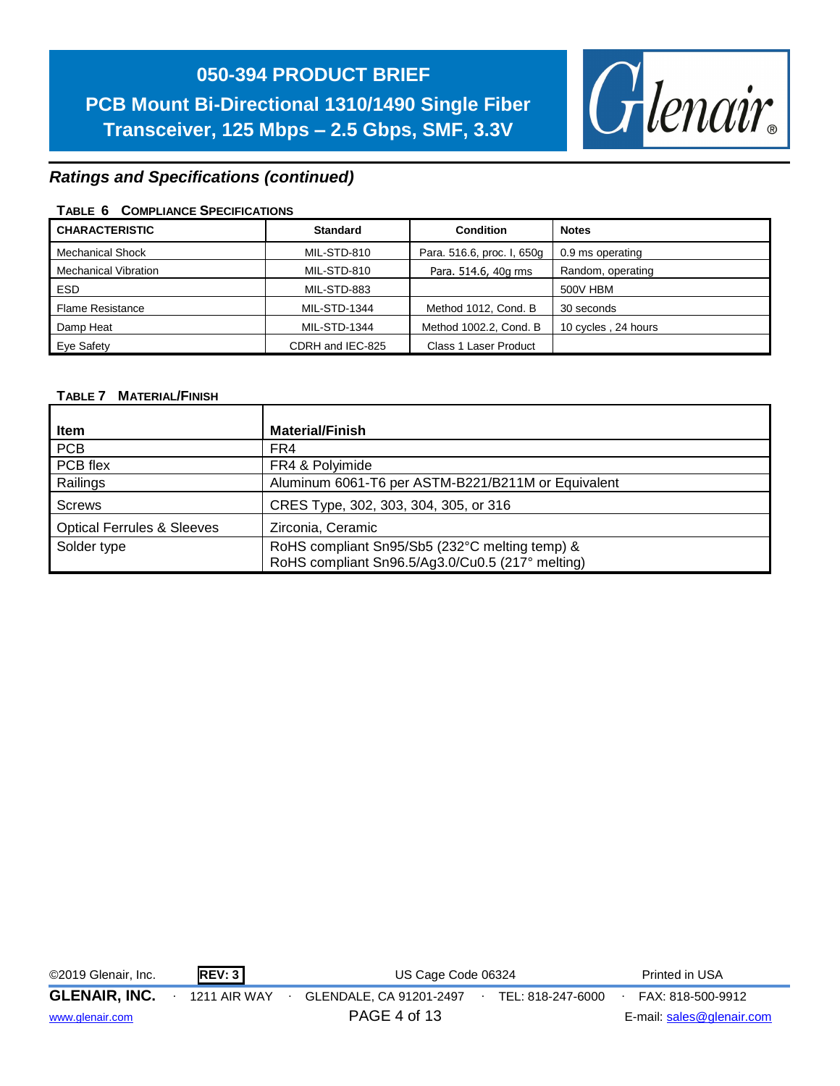

#### *Ratings and Specifications (continued)*

#### **TABLE 6 COMPLIANCE SPECIFICATIONS**

| <b>CHARACTERISTIC</b>       | <b>Standard</b>  | <b>Condition</b>           | <b>Notes</b>        |
|-----------------------------|------------------|----------------------------|---------------------|
| <b>Mechanical Shock</b>     | MIL-STD-810      | Para. 516.6, proc. I, 650g | 0.9 ms operating    |
| <b>Mechanical Vibration</b> | MIL-STD-810      | Para. 514.6, 40g rms       | Random, operating   |
| <b>ESD</b>                  | MIL-STD-883      |                            | 500V HBM            |
| <b>Flame Resistance</b>     | MIL-STD-1344     | Method 1012, Cond. B       | 30 seconds          |
| Damp Heat                   | MIL-STD-1344     | Method 1002.2, Cond. B     | 10 cycles, 24 hours |
| Eye Safety                  | CDRH and IEC-825 | Class 1 Laser Product      |                     |

#### **TABLE 7 MATERIAL/FINISH**

| Item                                  | <b>Material/Finish</b>                             |
|---------------------------------------|----------------------------------------------------|
|                                       |                                                    |
| PCB                                   | FR4                                                |
| PCB flex                              | FR4 & Polyimide                                    |
| Railings                              | Aluminum 6061-T6 per ASTM-B221/B211M or Equivalent |
| <b>Screws</b>                         | CRES Type, 302, 303, 304, 305, or 316              |
| <b>Optical Ferrules &amp; Sleeves</b> | Zirconia, Ceramic                                  |
| Solder type                           | RoHS compliant Sn95/Sb5 (232°C melting temp) &     |
|                                       | RoHS compliant Sn96.5/Ag3.0/Cu0.5 (217° melting)   |

| ©2019 Glenair, Inc.  | REV: 3              | US Cage Code 06324      | Printed in USA                         |
|----------------------|---------------------|-------------------------|----------------------------------------|
| <b>GLENAIR, INC.</b> | <b>1211 AIR WAY</b> | GLENDALE, CA 91201-2497 | TEL: 818-247-6000<br>FAX: 818-500-9912 |
| www.glenair.com      |                     | PAGE 4 of 13            | E-mail: sales@glenair.com              |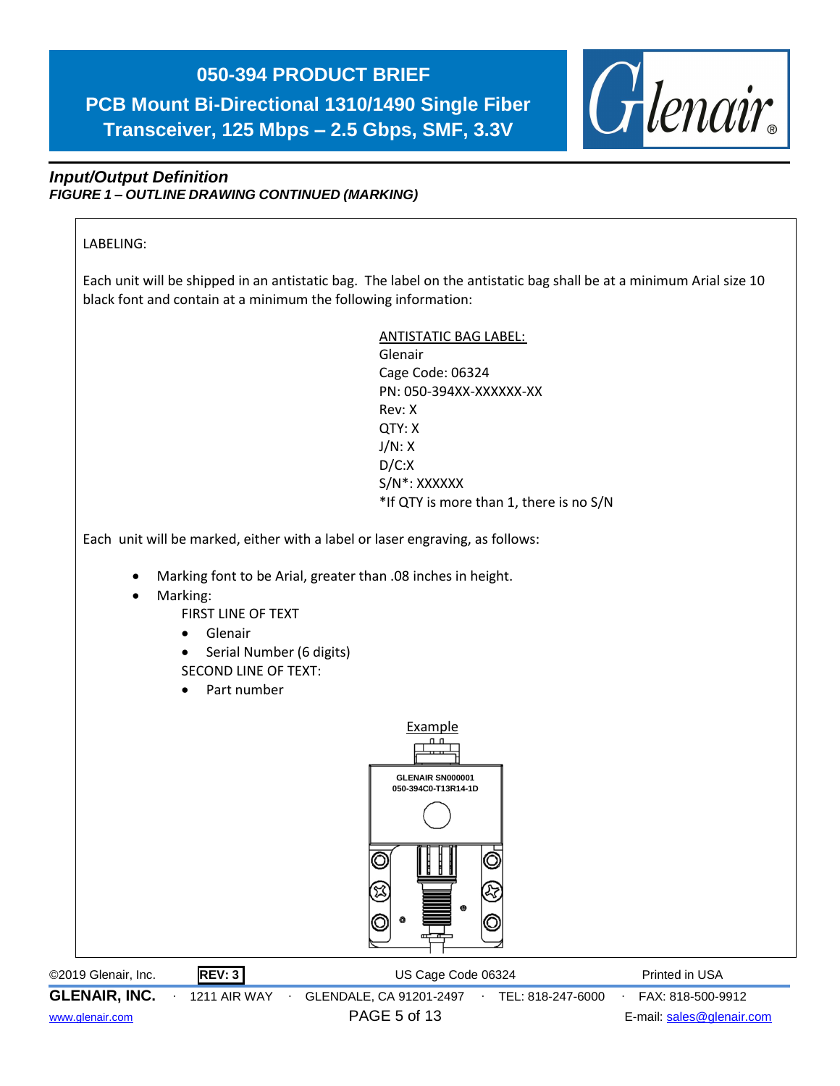

#### *Input/Output Definition FIGURE 1 – OUTLINE DRAWING CONTINUED (MARKING)*



[www.glenair.com](http://www.glenair.com/) PAGE 5 of 13 E-mail: [sales@glenair.com](mailto:sales@glenair.com)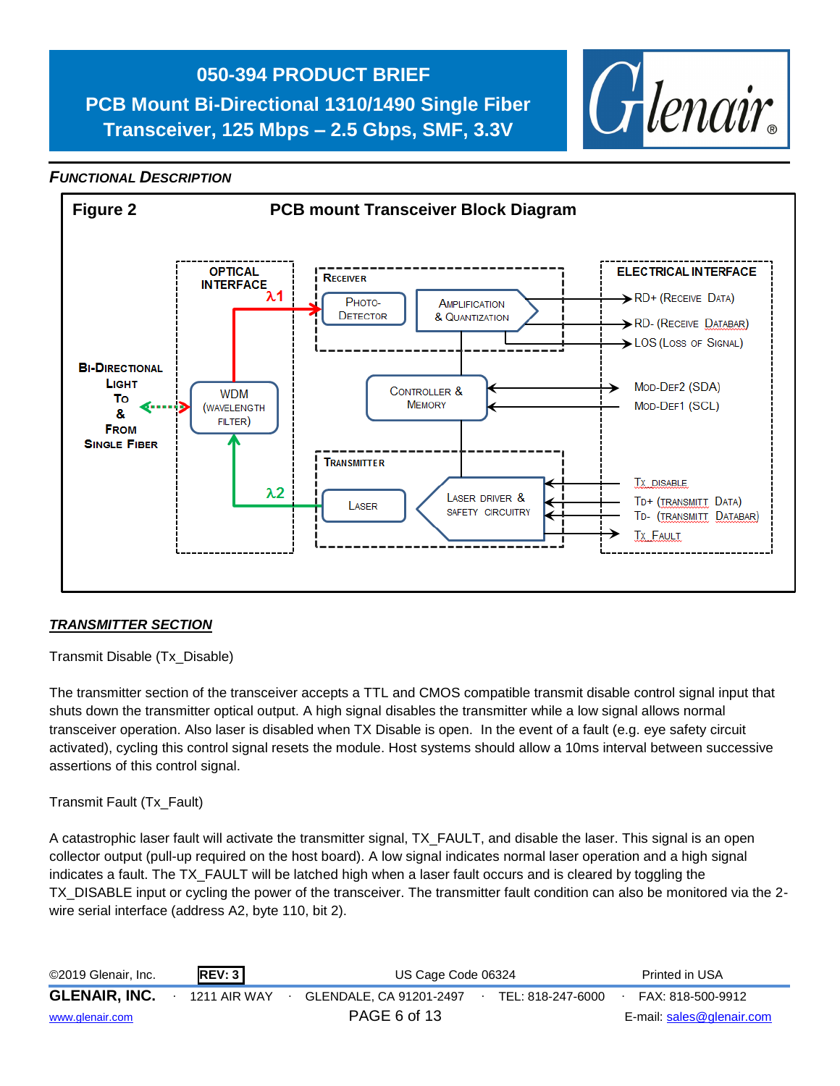**PCB Mount Bi-Directional 1310/1490 Single Fiber Transceiver, 125 Mbps – 2.5 Gbps, SMF, 3.3V**



#### *FUNCTIONAL DESCRIPTION*



#### *TRANSMITTER SECTION*

Transmit Disable (Tx\_Disable)

The transmitter section of the transceiver accepts a TTL and CMOS compatible transmit disable control signal input that shuts down the transmitter optical output. A high signal disables the transmitter while a low signal allows normal transceiver operation. Also laser is disabled when TX Disable is open. In the event of a fault (e.g. eye safety circuit activated), cycling this control signal resets the module. Host systems should allow a 10ms interval between successive assertions of this control signal.

#### Transmit Fault (Tx\_Fault)

A catastrophic laser fault will activate the transmitter signal, TX\_FAULT, and disable the laser. This signal is an open collector output (pull-up required on the host board). A low signal indicates normal laser operation and a high signal indicates a fault. The TX\_FAULT will be latched high when a laser fault occurs and is cleared by toggling the TX\_DISABLE input or cycling the power of the transceiver. The transmitter fault condition can also be monitored via the 2 wire serial interface (address A2, byte 110, bit 2).

| ©2019 Glenair, Inc.  | REV: 3       | US Cage Code 06324      |  |                   | Printed in USA            |
|----------------------|--------------|-------------------------|--|-------------------|---------------------------|
| <b>GLENAIR, INC.</b> | 1211 AIR WAY | GLENDALE, CA 91201-2497 |  | TEL: 818-247-6000 | FAX: 818-500-9912         |
| www.glenair.com      |              | PAGE 6 of 13            |  |                   | E-mail: sales@glenair.com |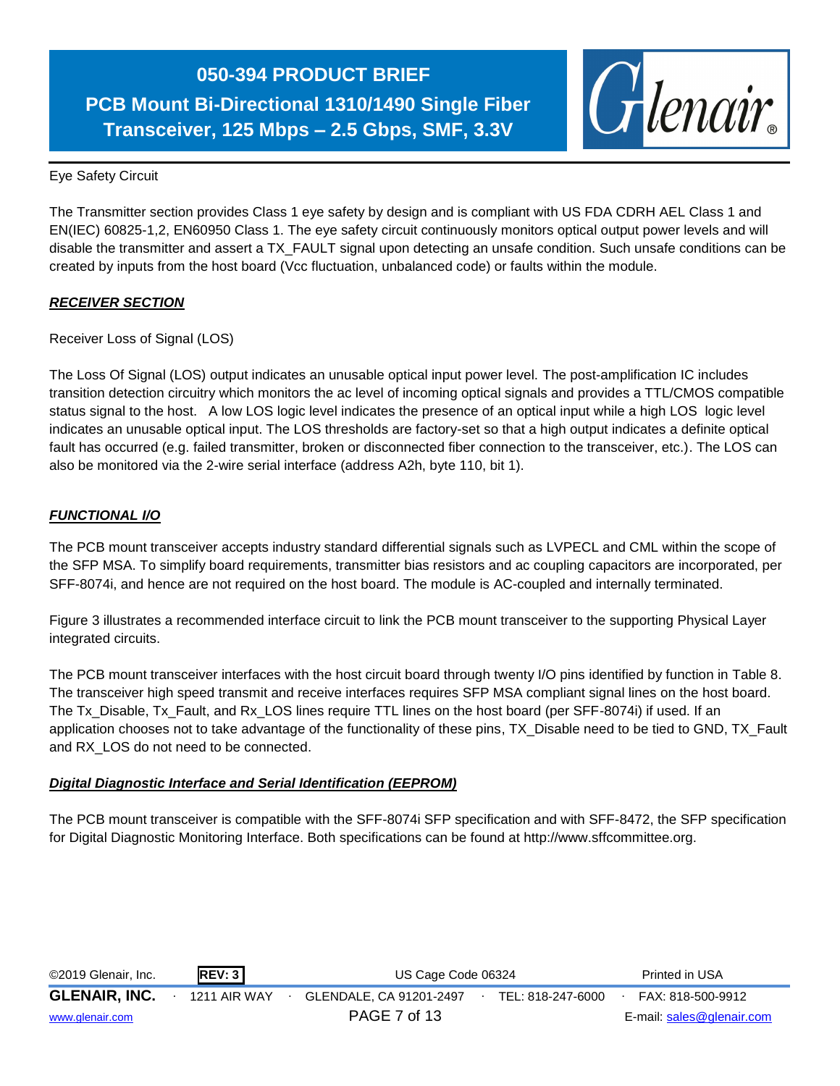## **050-394 PRODUCT BRIEF PCB Mount Bi-Directional 1310/1490 Single Fiber**

**Transceiver, 125 Mbps – 2.5 Gbps, SMF, 3.3V**



Eye Safety Circuit

The Transmitter section provides Class 1 eye safety by design and is compliant with US FDA CDRH AEL Class 1 and EN(IEC) 60825-1,2, EN60950 Class 1. The eye safety circuit continuously monitors optical output power levels and will disable the transmitter and assert a TX\_FAULT signal upon detecting an unsafe condition. Such unsafe conditions can be created by inputs from the host board (Vcc fluctuation, unbalanced code) or faults within the module.

#### *RECEIVER SECTION*

Receiver Loss of Signal (LOS)

The Loss Of Signal (LOS) output indicates an unusable optical input power level. The post-amplification IC includes transition detection circuitry which monitors the ac level of incoming optical signals and provides a TTL/CMOS compatible status signal to the host. A low LOS logic level indicates the presence of an optical input while a high LOS logic level indicates an unusable optical input. The LOS thresholds are factory-set so that a high output indicates a definite optical fault has occurred (e.g. failed transmitter, broken or disconnected fiber connection to the transceiver, etc.). The LOS can also be monitored via the 2-wire serial interface (address A2h, byte 110, bit 1).

#### *FUNCTIONAL I/O*

The PCB mount transceiver accepts industry standard differential signals such as LVPECL and CML within the scope of the SFP MSA. To simplify board requirements, transmitter bias resistors and ac coupling capacitors are incorporated, per SFF-8074i, and hence are not required on the host board. The module is AC-coupled and internally terminated.

Figure 3 illustrates a recommended interface circuit to link the PCB mount transceiver to the supporting Physical Layer integrated circuits.

The PCB mount transceiver interfaces with the host circuit board through twenty I/O pins identified by function in Table 8. The transceiver high speed transmit and receive interfaces requires SFP MSA compliant signal lines on the host board. The Tx Disable, Tx Fault, and Rx LOS lines require TTL lines on the host board (per SFF-8074i) if used. If an application chooses not to take advantage of the functionality of these pins, TX\_Disable need to be tied to GND, TX\_Fault and RX\_LOS do not need to be connected.

#### *Digital Diagnostic Interface and Serial Identification (EEPROM)*

The PCB mount transceiver is compatible with the SFF-8074i SFP specification and with SFF-8472, the SFP specification for Digital Diagnostic Monitoring Interface. Both specifications can be found at http://www.sffcommittee.org.

| ©2019 Glenair, Inc.  | <b>REV: 3</b> | US Cage Code 06324      |                   | Printed in USA            |
|----------------------|---------------|-------------------------|-------------------|---------------------------|
| <b>GLENAIR, INC.</b> | 1211 AIR WAY  | GLENDALE, CA 91201-2497 | TEL: 818-247-6000 | FAX: 818-500-9912         |
| www.glenair.com      |               | PAGE 7 of 13            |                   | E-mail: sales@glenair.com |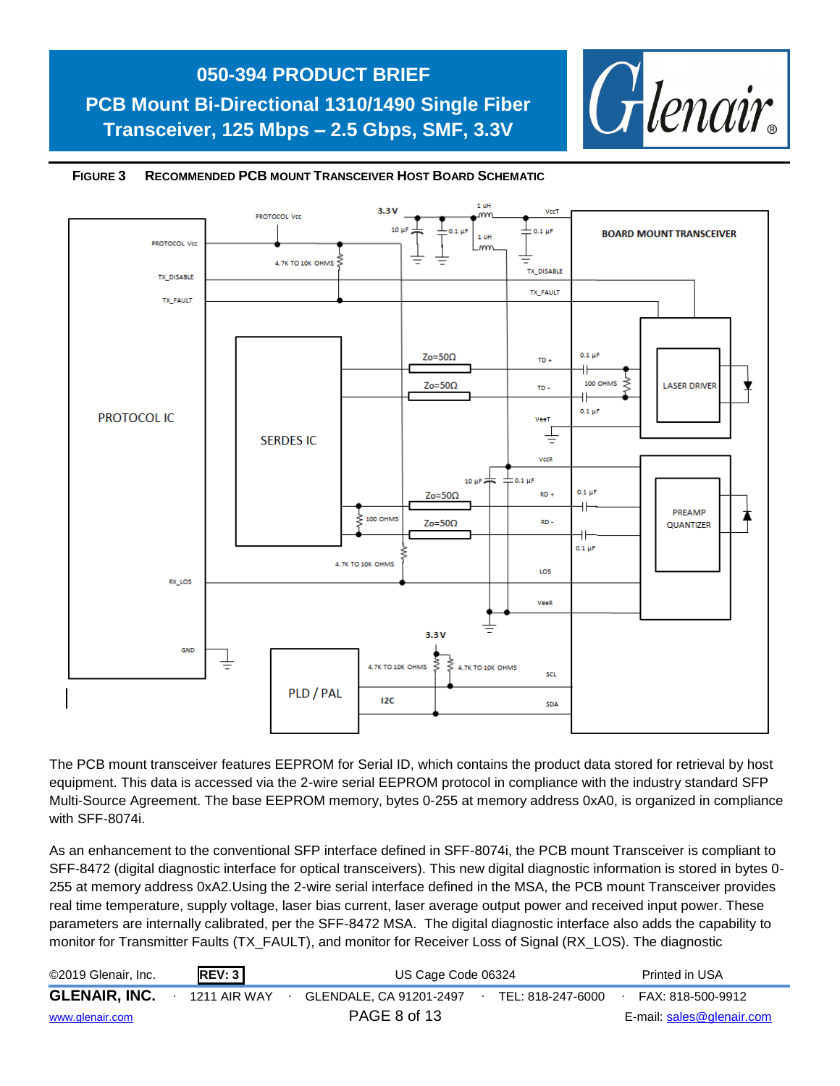



#### **FIGURE 3 RECOMMENDED PCB MOUNT TRANSCEIVER HOST BOARD SCHEMATIC**

The PCB mount transceiver features EEPROM for Serial ID, which contains the product data stored for retrieval by host equipment. This data is accessed via the 2-wire serial EEPROM protocol in compliance with the industry standard SFP Multi-Source Agreement. The base EEPROM memory, bytes 0-255 at memory address 0xA0, is organized in compliance with SFF-8074i.

As an enhancement to the conventional SFP interface defined in SFF-8074i, the PCB mount Transceiver is compliant to SFF-8472 (digital diagnostic interface for optical transceivers). This new digital diagnostic information is stored in bytes 0- 255 at memory address 0xA2.Using the 2-wire serial interface defined in the MSA, the PCB mount Transceiver provides real time temperature, supply voltage, laser bias current, laser average output power and received input power. These parameters are internally calibrated, per the SFF-8472 MSA. The digital diagnostic interface also adds the capability to monitor for Transmitter Faults (TX\_FAULT), and monitor for Receiver Loss of Signal (RX\_LOS). The diagnostic

| ©2019 Glenair, Inc.  | REV: 3       | US Cage Code 06324      |                   | Printed in USA            |
|----------------------|--------------|-------------------------|-------------------|---------------------------|
| <b>GLENAIR, INC.</b> | 1211 AIR WAY | GLENDALE, CA 91201-2497 | TEL: 818-247-6000 | FAX: 818-500-9912         |
| www.glenair.com      |              | PAGE 8 of 13            |                   | E-mail: sales@glenair.com |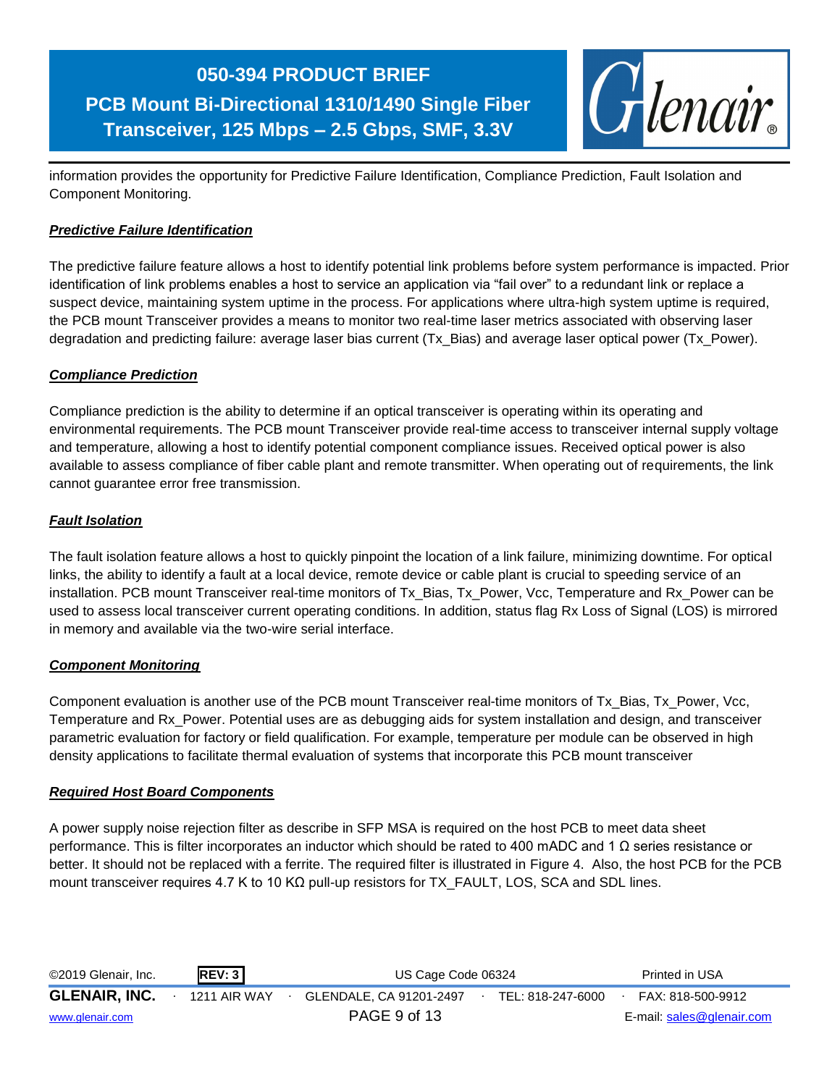

information provides the opportunity for Predictive Failure Identification, Compliance Prediction, Fault Isolation and Component Monitoring.

#### *Predictive Failure Identification*

The predictive failure feature allows a host to identify potential link problems before system performance is impacted. Prior identification of link problems enables a host to service an application via "fail over" to a redundant link or replace a suspect device, maintaining system uptime in the process. For applications where ultra-high system uptime is required, the PCB mount Transceiver provides a means to monitor two real-time laser metrics associated with observing laser degradation and predicting failure: average laser bias current (Tx\_Bias) and average laser optical power (Tx\_Power).

#### *Compliance Prediction*

Compliance prediction is the ability to determine if an optical transceiver is operating within its operating and environmental requirements. The PCB mount Transceiver provide real-time access to transceiver internal supply voltage and temperature, allowing a host to identify potential component compliance issues. Received optical power is also available to assess compliance of fiber cable plant and remote transmitter. When operating out of requirements, the link cannot guarantee error free transmission.

#### *Fault Isolation*

The fault isolation feature allows a host to quickly pinpoint the location of a link failure, minimizing downtime. For optical links, the ability to identify a fault at a local device, remote device or cable plant is crucial to speeding service of an installation. PCB mount Transceiver real-time monitors of Tx\_Bias, Tx\_Power, Vcc, Temperature and Rx\_Power can be used to assess local transceiver current operating conditions. In addition, status flag Rx Loss of Signal (LOS) is mirrored in memory and available via the two-wire serial interface.

#### *Component Monitoring*

Component evaluation is another use of the PCB mount Transceiver real-time monitors of Tx\_Bias, Tx\_Power, Vcc, Temperature and Rx\_Power. Potential uses are as debugging aids for system installation and design, and transceiver parametric evaluation for factory or field qualification. For example, temperature per module can be observed in high density applications to facilitate thermal evaluation of systems that incorporate this PCB mount transceiver

#### *Required Host Board Components*

A power supply noise rejection filter as describe in SFP MSA is required on the host PCB to meet data sheet performance. This is filter incorporates an inductor which should be rated to 400 mADC and 1 Ω series resistance or better. It should not be replaced with a ferrite. The required filter is illustrated in Figure 4. Also, the host PCB for the PCB mount transceiver requires 4.7 K to 10 KΩ pull-up resistors for TX\_FAULT, LOS, SCA and SDL lines.

| ©2019 Glenair, Inc.  | REV: 3       | US Cage Code 06324      |  |                   | Printed in USA            |
|----------------------|--------------|-------------------------|--|-------------------|---------------------------|
| <b>GLENAIR, INC.</b> | 1211 AIR WAY | GLENDALE, CA 91201-2497 |  | TEL: 818-247-6000 | FAX: 818-500-9912         |
| www.glenair.com      |              | PAGE 9 of 13            |  |                   | E-mail: sales@glenair.com |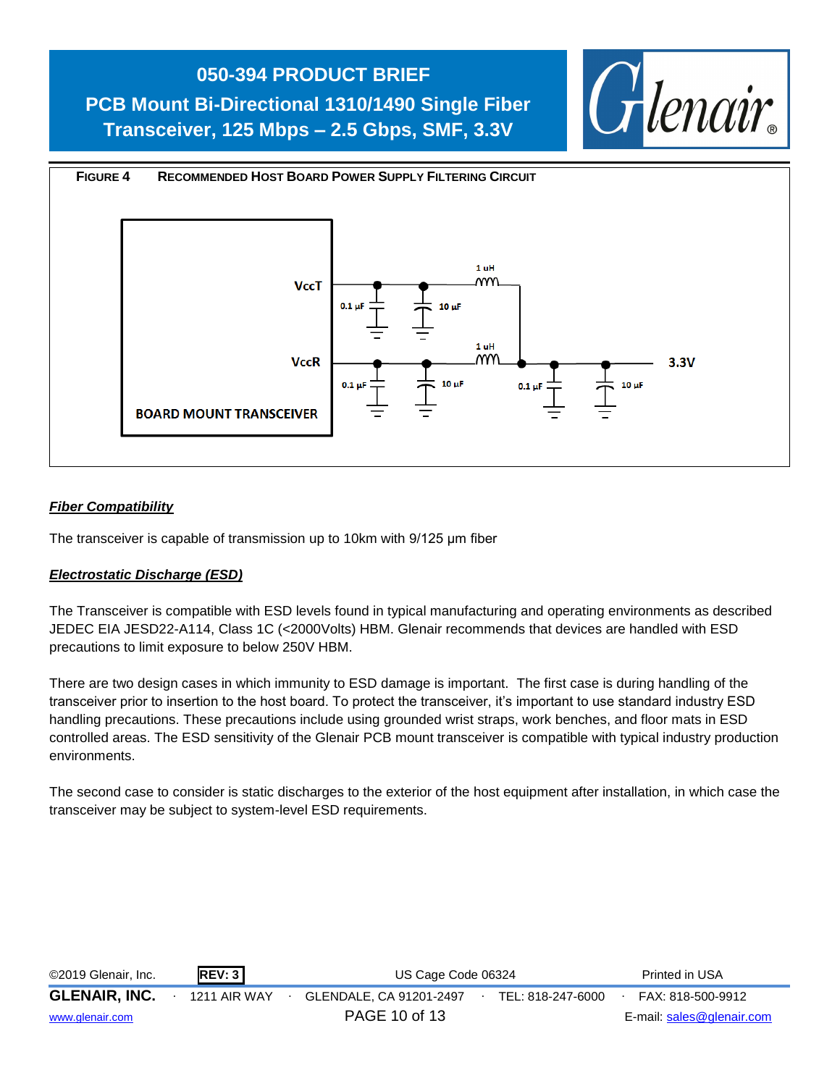**PCB Mount Bi-Directional 1310/1490 Single Fiber Transceiver, 125 Mbps – 2.5 Gbps, SMF, 3.3V**





#### *Fiber Compatibility*

The transceiver is capable of transmission up to 10km with 9/125 μm fiber

#### *Electrostatic Discharge (ESD)*

The Transceiver is compatible with ESD levels found in typical manufacturing and operating environments as described JEDEC EIA JESD22-A114, Class 1C (<2000Volts) HBM. Glenair recommends that devices are handled with ESD precautions to limit exposure to below 250V HBM.

There are two design cases in which immunity to ESD damage is important. The first case is during handling of the transceiver prior to insertion to the host board. To protect the transceiver, it's important to use standard industry ESD handling precautions. These precautions include using grounded wrist straps, work benches, and floor mats in ESD controlled areas. The ESD sensitivity of the Glenair PCB mount transceiver is compatible with typical industry production environments.

The second case to consider is static discharges to the exterior of the host equipment after installation, in which case the transceiver may be subject to system-level ESD requirements.

| ©2019 Glenair, Inc.  | REV: 3       | US Cage Code 06324      |  |                   | Printed in USA            |
|----------------------|--------------|-------------------------|--|-------------------|---------------------------|
| <b>GLENAIR, INC.</b> | 1211 AIR WAY | GLENDALE, CA 91201-2497 |  | TEL: 818-247-6000 | FAX: 818-500-9912         |
| www.glenair.com      |              | PAGE 10 of 13           |  |                   | E-mail: sales@glenair.com |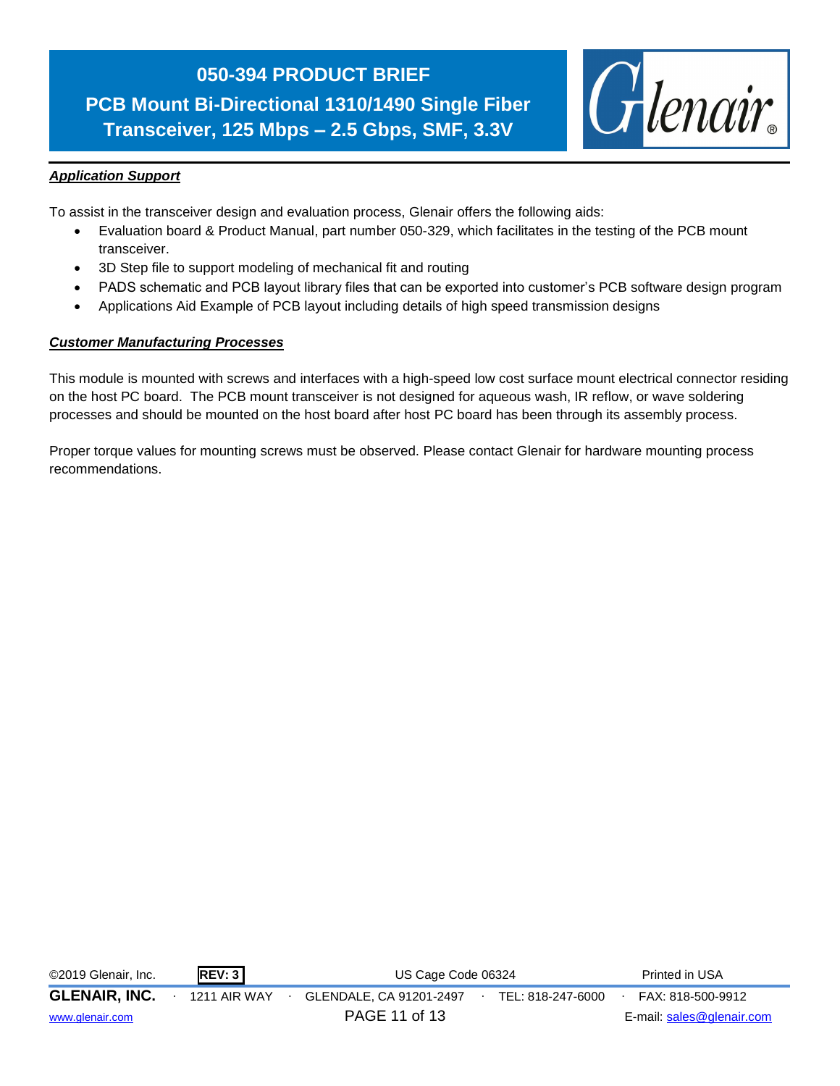**PCB Mount Bi-Directional 1310/1490 Single Fiber Transceiver, 125 Mbps – 2.5 Gbps, SMF, 3.3V**



#### *Application Support*

To assist in the transceiver design and evaluation process, Glenair offers the following aids:

- Evaluation board & Product Manual, part number 050-329, which facilitates in the testing of the PCB mount transceiver.
- 3D Step file to support modeling of mechanical fit and routing
- PADS schematic and PCB layout library files that can be exported into customer's PCB software design program
- Applications Aid Example of PCB layout including details of high speed transmission designs

#### *Customer Manufacturing Processes*

This module is mounted with screws and interfaces with a high-speed low cost surface mount electrical connector residing on the host PC board. The PCB mount transceiver is not designed for aqueous wash, IR reflow, or wave soldering processes and should be mounted on the host board after host PC board has been through its assembly process.

Proper torque values for mounting screws must be observed. Please contact Glenair for hardware mounting process recommendations.

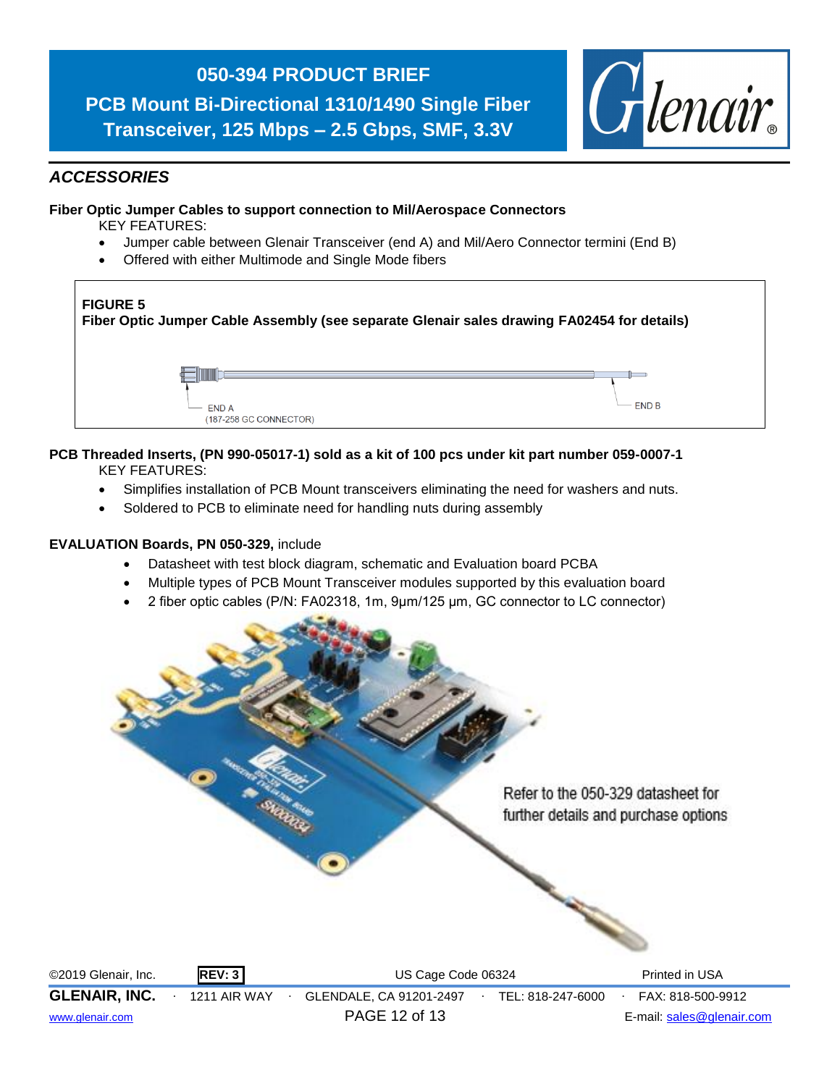**PCB Mount Bi-Directional 1310/1490 Single Fiber Transceiver, 125 Mbps – 2.5 Gbps, SMF, 3.3V**



#### *ACCESSORIES*

#### **Fiber Optic Jumper Cables to support connection to Mil/Aerospace Connectors**

KEY FEATURES:

- Jumper cable between Glenair Transceiver (end A) and Mil/Aero Connector termini (End B)
- Offered with either Multimode and Single Mode fibers



#### **PCB Threaded Inserts, (PN 990-05017-1) sold as a kit of 100 pcs under kit part number 059-0007-1** KEY FEATURES:

- Simplifies installation of PCB Mount transceivers eliminating the need for washers and nuts.
- Soldered to PCB to eliminate need for handling nuts during assembly

#### **EVALUATION Boards, PN 050-329,** include

- Datasheet with test block diagram, schematic and Evaluation board PCBA
- Multiple types of PCB Mount Transceiver modules supported by this evaluation board
- 2 fiber optic cables (P/N: FA02318, 1m, 9μm/125 μm, GC connector to LC connector)



©2019 Glenair, Inc. **REV: 3** US Cage Code 06324 Printed in USA **GLENAIR, INC.** ∙ 1211 AIR WAY ∙ GLENDALE, CA 91201-2497∙ TEL: 818-247-6000∙ FAX: 818-500-9912 [www.glenair.com](http://www.glenair.com/) PAGE 12 of 13 E-mail: [sales@glenair.com](mailto:sales@glenair.com)